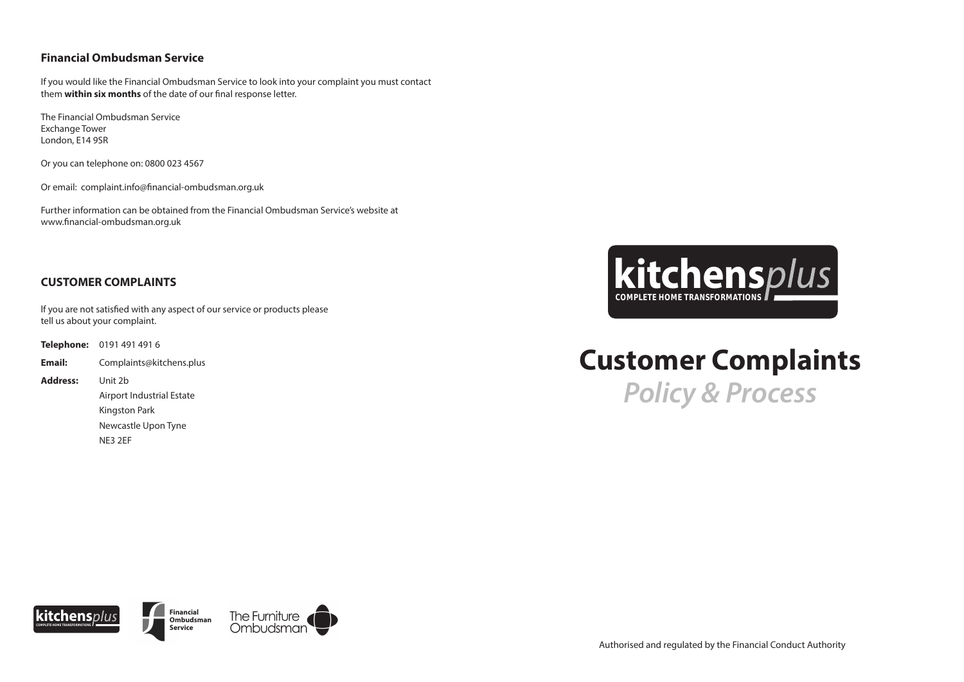# **Customer Complaints** *Policy & Process*

If you would like the Financial Ombudsman Service to look into your complaint you must contact them **within six months** of the date of our final response letter.

# **Financial Ombudsman Service**

Further information can be obtained from the Financial Ombudsman Service's website at www.financial-ombudsman.org.uk

The Financial Ombudsman Service Exchange Tower London, E14 9SR

Or you can telephone on: 0800 023 4567

If you are not satisfied with any aspect of our service or products please tell us about your complaint.

Or email: complaint.info@financial-ombudsman.org.uk

# **CUSTOMER COMPLAINTS**

**Telephone:** 0191 491 491 6 **Email:** Complaints@kitchens.plus **Address:** Unit 2b Airport Industrial Estate Kingston Park Newcastle Upon Tyne

NE3 2EF